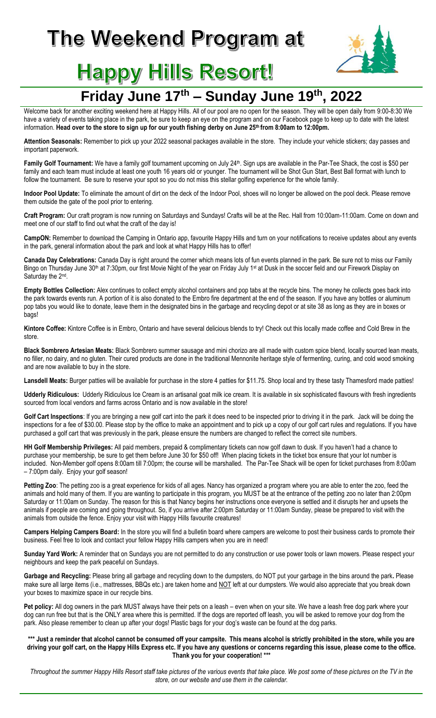# The Weekend Program at



## **Happy Hills Resort!**

### **Friday June 17 th – Sunday June 19 th, 2022**

Welcome back for another exciting weekend here at Happy Hills. All of our pool are no open for the season. They will be open daily from 9:00-8:30 We have a variety of events taking place in the park, be sure to keep an eye on the program and on our Facebook page to keep up to date with the latest information. **Head over to the store to sign up for our youth fishing derby on June 25th from 8:00am to 12:00pm.** 

**Attention Seasonals:** Remember to pick up your 2022 seasonal packages available in the store. They include your vehicle stickers; day passes and important paperwork.

Family Golf Tournament: We have a family golf tournament upcoming on July 24<sup>th</sup>. Sign ups are available in the Par-Tee Shack, the cost is \$50 per family and each team must include at least one youth 16 years old or younger. The tournament will be Shot Gun Start, Best Ball format with lunch to follow the tournament. Be sure to reserve your spot so you do not miss this stellar golfing experience for the whole family.

**Indoor Pool Update:** To eliminate the amount of dirt on the deck of the Indoor Pool, shoes will no longer be allowed on the pool deck. Please remove them outside the gate of the pool prior to entering.

**Craft Program:** Our craft program is now running on Saturdays and Sundays! Crafts will be at the Rec. Hall from 10:00am-11:00am. Come on down and meet one of our staff to find out what the craft of the day is!

**CampON:** Remember to download the Camping in Ontario app, favourite Happy Hills and turn on your notifications to receive updates about any events in the park, general information about the park and look at what Happy Hills has to offer!

**Canada Day Celebrations:** Canada Day is right around the corner which means lots of fun events planned in the park. Be sure not to miss our Family Bingo on Thursday June 30<sup>th</sup> at 7:30pm, our first Movie Night of the year on Friday July 1<sup>st</sup> at Dusk in the soccer field and our Firework Display on Saturday the 2<sup>nd</sup>.

**Empty Bottles Collection:** Alex continues to collect empty alcohol containers and pop tabs at the recycle bins. The money he collects goes back into the park towards events run. A portion of it is also donated to the Embro fire department at the end of the season. If you have any bottles or aluminum pop tabs you would like to donate, leave them in the designated bins in the garbage and recycling depot or at site 38 as long as they are in boxes or bags!

**Kintore Coffee:** Kintore Coffee is in Embro, Ontario and have several delicious blends to try! Check out this locally made coffee and Cold Brew in the store.

**Black Sombrero Artesian Meats:** Black Sombrero summer sausage and mini chorizo are all made with custom spice blend, locally sourced lean meats, no filler, no dairy, and no gluten. Their cured products are done in the traditional Mennonite heritage style of fermenting, curing, and cold wood smoking and are now available to buy in the store.

Lansdell Meats: Burger patties will be available for purchase in the store 4 patties for \$11.75. Shop local and try these tasty Thamesford made patties!

**Udderly Ridiculous:** Udderly Ridiculous Ice Cream is an artisanal goat milk ice cream. It is available in six sophisticated flavours with fresh ingredients sourced from local vendors and farms across Ontario and is now available in the store!

Golf Cart Inspections: If you are bringing a new golf cart into the park it does need to be inspected prior to driving it in the park. Jack will be doing the inspections for a fee of \$30.00. Please stop by the office to make an appointment and to pick up a copy of our golf cart rules and regulations. If you have purchased a golf cart that was previously in the park, please ensure the numbers are changed to reflect the correct site numbers.

**HH Golf Membership Privileges:** All paid members, prepaid & complimentary tickets can now golf dawn to dusk. If you haven't had a chance to purchase your membership, be sure to get them before June 30 for \$50 off! When placing tickets in the ticket box ensure that your lot number is included. Non-Member golf opens 8:00am till 7:00pm; the course will be marshalled. The Par-Tee Shack will be open for ticket purchases from 8:00am – 7:00pm daily. Enjoy your golf season!

Petting Zoo: The petting zoo is a great experience for kids of all ages. Nancy has organized a program where you are able to enter the zoo, feed the animals and hold many of them. If you are wanting to participate in this program, you MUST be at the entrance of the petting zoo no later than 2:00pm Saturday or 11:00am on Sunday. The reason for this is that Nancy begins her instructions once everyone is settled and it disrupts her and upsets the animals if people are coming and going throughout. So, if you arrive after 2:00pm Saturday or 11:00am Sunday, please be prepared to visit with the animals from outside the fence. Enjoy your visit with Happy Hills favourite creatures!

**Campers Helping Campers Board:** In the store you will find a bulletin board where campers are welcome to post their business cards to promote their business. Feel free to look and contact your fellow Happy Hills campers when you are in need!

**Sunday Yard Work:** A reminder that on Sundays you are not permitted to do any construction or use power tools or lawn mowers. Please respect your neighbours and keep the park peaceful on Sundays.

**Garbage and Recycling:** Please bring all garbage and recycling down to the dumpsters, do NOT put your garbage in the bins around the park**.** Please make sure all large items (i.e., mattresses, BBQs etc.) are taken home and NOT left at our dumpsters. We would also appreciate that you break down your boxes to maximize space in our recycle bins.

Pet policy: All dog owners in the park MUST always have their pets on a leash – even when on your site. We have a leash free dog park where your dog can run free but that is the ONLY area where this is permitted. If the dogs are reported off leash, you will be asked to remove your dog from the park. Also please remember to clean up after your dogs! Plastic bags for your dog's waste can be found at the dog parks.

**\*\*\* Just a reminder that alcohol cannot be consumed off your campsite. This means alcohol is strictly prohibited in the store, while you are driving your golf cart, on the Happy Hills Express etc. If you have any questions or concerns regarding this issue, please come to the office. Thank you for your cooperation! \*\*\***

*Throughout the summer Happy Hills Resort staff take pictures of the various events that take place. We post some of these pictures on the TV in the store, on our website and use them in the calendar.*